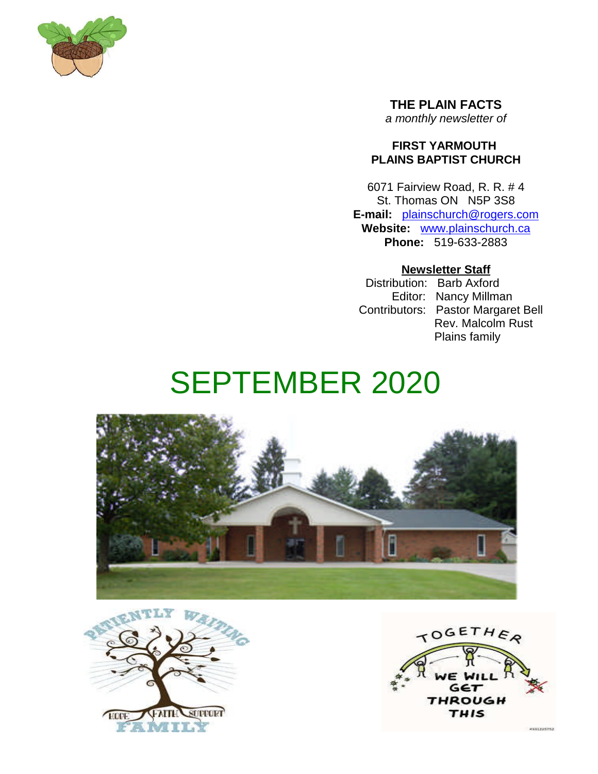

**THE PLAIN FACTS** *a monthly newsletter of*

## **FIRST YARMOUTH PLAINS BAPTIST CHURCH**

6071 Fairview Road, R. R. # 4 St. Thomas ON N5P 3S8 **E-mail:** plainschurch@rogers.com **Website:** www.plainschurch.ca **Phone:** 519-633-2883

## **Newsletter Staff**

Distribution: Barb Axford Editor: Nancy Millman Contributors: Pastor Margaret Bell Rev. Malcolm Rust Plains family

# SEPTEMBER 2020





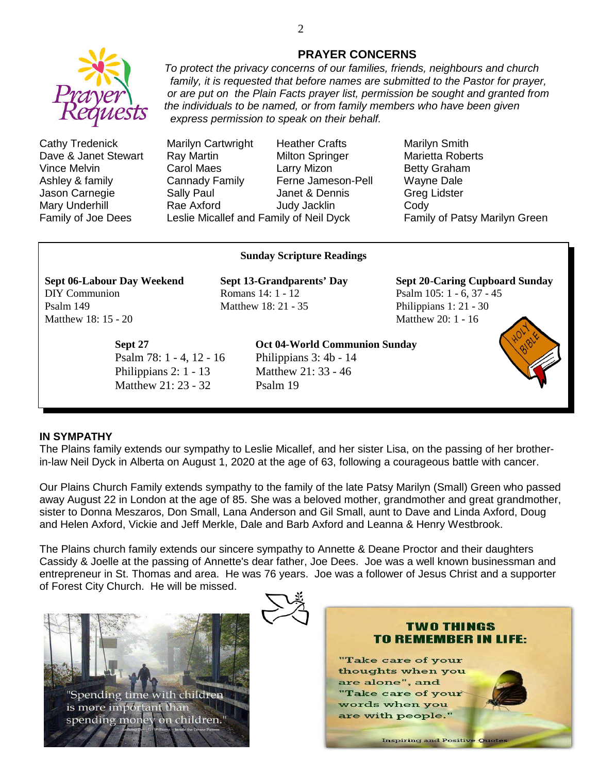

Cathy Tredenick Marilyn Cartwright Heather Crafts Marilyn Smith Dave & Janet Stewart Ray Martin Milton Springer Marietta Roberts Vince Melvin **Carol Maes** Larry Mizon **Betty Graham** Ashley & family Cannady Family Ferne Jameson-Pell Wayne Dale Jason Carnegie **Sally Paul** Janet & Dennis Greg Lidster Mary Underhill Rae Axford Judy Jacklin Cody

Family of Joe Dees Leslie Micallef and Family of Neil Dyck Family of Patsy Marilyn Green

#### **Sunday Scripture Readings**

**Sept 06-Labour Day Weekend Sept 13-Grandparents' Day Sept 20**-**Caring Cupboard Sunday** DIY Communion Romans 14: 1 - 12 Psalm 105: 1 - 6, 37 - 45 Psalm 149 Matthew 18: 21 - 35 Philippians 1: 21 - 30 Matthew 18: 15 - 20 Matthew 20: 1 - 16

*express permission to speak on their behalf.*

Psalm 78: 1 - 4, 12 - 16 Philippians 3: 4b - 14 Philippians 2: 1 - 13 Matthew 21: 33 - 46 Matthew 21: 23 - 32 Psalm 19

#### **Sept 27 Oct 04-World Communion Sunday**



#### **IN SYMPATHY**

The Plains family extends our sympathy to Leslie Micallef, and her sister Lisa, on the passing of her brotherin-law Neil Dyck in Alberta on August 1, 2020 at the age of 63, following a courageous battle with cancer.

Our Plains Church Family extends sympathy to the family of the late Patsy Marilyn (Small) Green who passed away August 22 in London at the age of 85. She was a beloved mother, grandmother and great grandmother, sister to Donna Meszaros, Don Small, Lana Anderson and Gil Small, aunt to Dave and Linda Axford, Doug and Helen Axford, Vickie and Jeff Merkle, Dale and Barb Axford and Leanna & Henry Westbrook.

The Plains church family extends our sincere sympathy to Annette & Deane Proctor and their daughters Cassidy & Joelle at the passing of Annette's dear father, Joe Dees. Joe was a well known businessman and entrepreneur in St. Thomas and area. He was 76 years. Joe was a follower of Jesus Christ and a supporter of Forest City Church. He will be missed.







## **PRAYER CONCERNS** *To protect the privacy concerns of our families, friends, neighbours and church*

*family, it is requested that before names are submitted to the Pastor for prayer, or are put on the Plain Facts prayer list, permission be sought and granted from*

*the individuals to be named, or from family members who have been given*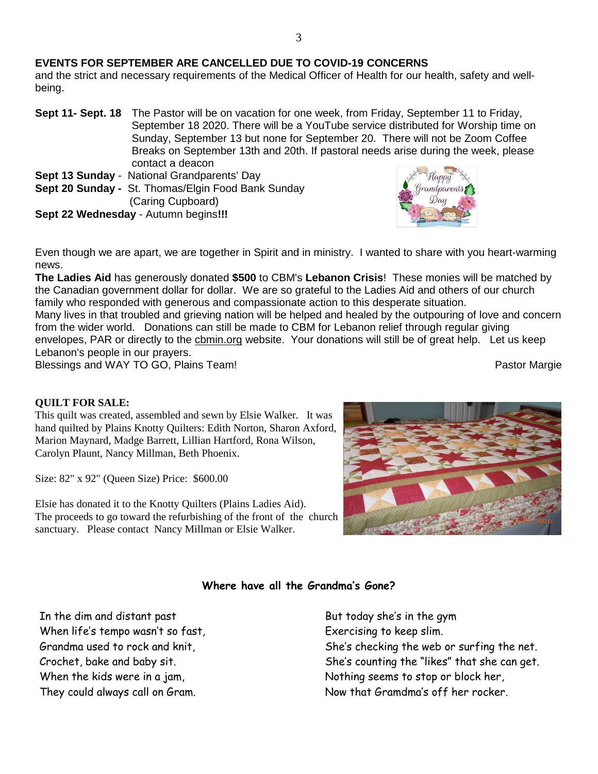## **EVENTS FOR SEPTEMBER ARE CANCELLED DUE TO COVID-19 CONCERNS**

and the strict and necessary requirements of the Medical Officer of Health for our health, safety and wellbeing.

- **Sept 11- Sept. 18** The Pastor will be on vacation for one week, from Friday, September 11 to Friday, September 18 2020. There will be a YouTube service distributed for Worship time on Sunday, September 13 but none for September 20. There will not be Zoom Coffee Breaks on September 13th and 20th. If pastoral needs arise during the week, please contact a deacon
- **Sept 13 Sunday** National Grandparents' Day
- **Sept 20 Sunday -** St. Thomas/Elgin Food Bank Sunday (Caring Cupboard)
- **Sept 22 Wednesday** Autumn begins**!!!**



Even though we are apart, we are together in Spirit and in ministry. I wanted to share with you heart-warming news.

**The Ladies Aid** has generously donated **\$500** to CBM's **Lebanon Crisis**! These monies will be matched by the Canadian government dollar for dollar. We are so grateful to the Ladies Aid and others of our church family who responded with generous and compassionate action to this desperate situation.

Many lives in that troubled and grieving nation will be helped and healed by the outpouring of love and concern from the wider world. Donations can still be made to CBM for Lebanon relief through regular giving envelopes, PAR or directly to the cbmin.org website. Your donations will still be of great help. Let us keep Lebanon's people in our prayers. Blessings and WAY TO GO, Plains Team! And the state of the state of the Pastor Margie

## **QUILT FOR SALE:**

This quilt was created, assembled and sewn by Elsie Walker. It was hand quilted by Plains Knotty Quilters: Edith Norton, Sharon Axford, Marion Maynard, Madge Barrett, Lillian Hartford, Rona Wilson, Carolyn Plaunt, Nancy Millman, Beth Phoenix.

Size: 82" x 92" (Queen Size) Price: \$600.00

Elsie has donated it to the Knotty Quilters (Plains Ladies Aid). The proceeds to go toward the refurbishing of the front of the church sanctuary. Please contact Nancy Millman or Elsie Walker.



## **Where have all the Grandma's Gone?**

In the dim and distant past When life's tempo wasn't so fast, Grandma used to rock and knit, Crochet, bake and baby sit. When the kids were in a jam, They could always call on Gram.

But today she's in the gym Exercising to keep slim. She's checking the web or surfing the net. She's counting the "likes" that she can get. Nothing seems to stop or block her, Now that Gramdma's off her rocker.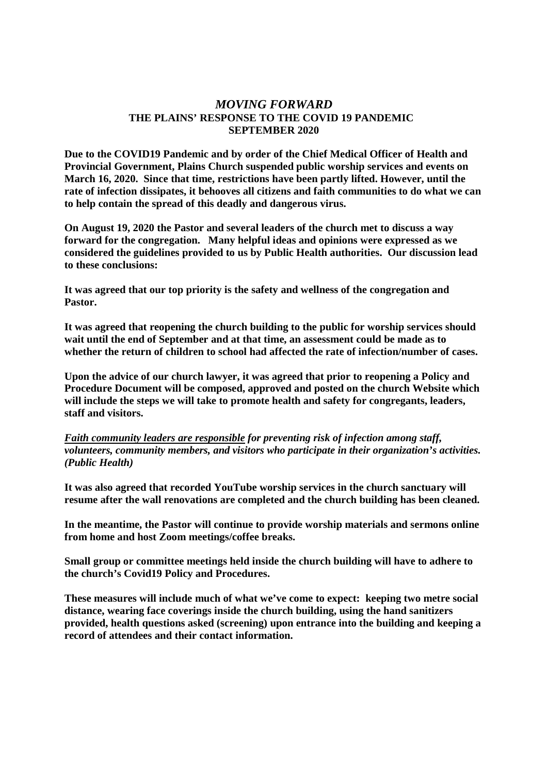## *MOVING FORWARD* **THE PLAINS' RESPONSE TO THE COVID 19 PANDEMIC SEPTEMBER 2020**

**Due to the COVID19 Pandemic and by order of the Chief Medical Officer of Health and Provincial Government, Plains Church suspended public worship services and events on March 16, 2020. Since that time, restrictions have been partly lifted. However, until the rate of infection dissipates, it behooves all citizens and faith communities to do what we can to help contain the spread of this deadly and dangerous virus.**

**On August 19, 2020 the Pastor and several leaders of the church met to discuss a way forward for the congregation. Many helpful ideas and opinions were expressed as we considered the guidelines provided to us by Public Health authorities. Our discussion lead to these conclusions:**

**It was agreed that our top priority is the safety and wellness of the congregation and Pastor.**

**It was agreed that reopening the church building to the public for worship services should wait until the end of September and at that time, an assessment could be made as to whether the return of children to school had affected the rate of infection/number of cases.**

**Upon the advice of our church lawyer, it was agreed that prior to reopening a Policy and Procedure Document will be composed, approved and posted on the church Website which will include the steps we will take to promote health and safety for congregants, leaders, staff and visitors.**

*Faith community leaders are responsible for preventing risk of infection among staff, volunteers, community members, and visitors who participate in their organization's activities. (Public Health)*

**It was also agreed that recorded YouTube worship services in the church sanctuary will resume after the wall renovations are completed and the church building has been cleaned.**

**In the meantime, the Pastor will continue to provide worship materials and sermons online from home and host Zoom meetings/coffee breaks.**

**Small group or committee meetings held inside the church building will have to adhere to the church's Covid19 Policy and Procedures.**

**These measures will include much of what we've come to expect: keeping two metre social distance, wearing face coverings inside the church building, using the hand sanitizers provided, health questions asked (screening) upon entrance into the building and keeping a record of attendees and their contact information.**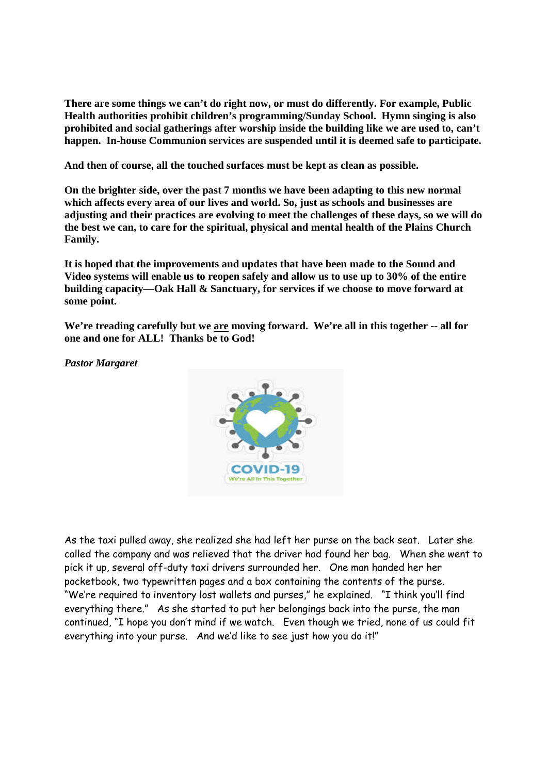**There are some things we can't do right now, or must do differently. For example, Public Health authorities prohibit children's programming/Sunday School. Hymn singing is also prohibited and social gatherings after worship inside the building like we are used to, can't happen. In-house Communion services are suspended until it is deemed safe to participate.**

**And then of course, all the touched surfaces must be kept as clean as possible.**

**On the brighter side, over the past 7 months we have been adapting to this new normal which affects every area of our lives and world. So, just as schools and businesses are adjusting and their practices are evolving to meet the challenges of these days, so we will do the best we can, to care for the spiritual, physical and mental health of the Plains Church Family.**

**It is hoped that the improvements and updates that have been made to the Sound and Video systems will enable us to reopen safely and allow us to use up to 30% of the entire building capacity—Oak Hall & Sanctuary, for services if we choose to move forward at some point.**

**We're treading carefully but we are moving forward. We're all in this together -- all for one and one for ALL! Thanks be to God!**

*Pastor Margaret*



As the taxi pulled away, she realized she had left her purse on the back seat. Later she called the company and was relieved that the driver had found her bag. When she went to pick it up, several off-duty taxi drivers surrounded her. One man handed her her pocketbook, two typewritten pages and a box containing the contents of the purse. "We're required to inventory lost wallets and purses," he explained. "I think you'll find everything there." As she started to put her belongings back into the purse, the man continued, "I hope you don't mind if we watch. Even though we tried, none of us could fit everything into your purse. And we'd like to see just how you do it!"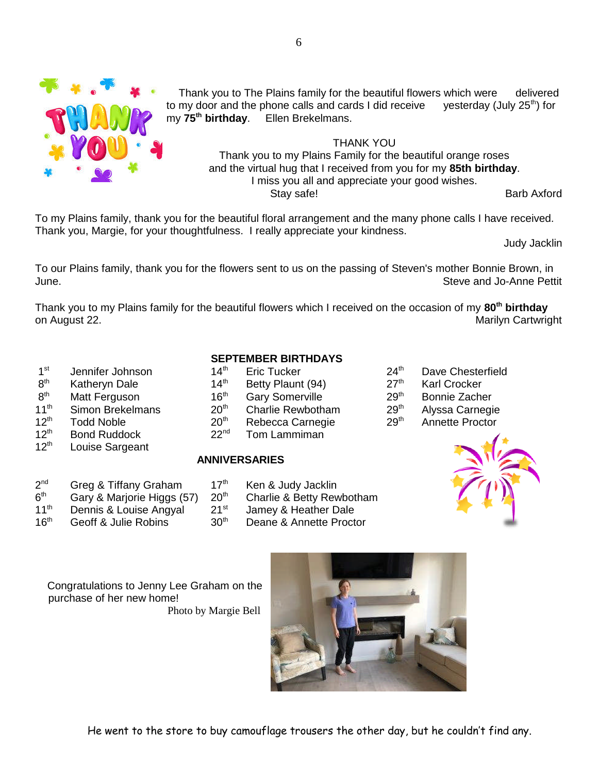

Thank you to The Plains family for the beautiful flowers which were delivered to my door and the phone calls and cards I did receive yesterday (July  $25<sup>th</sup>$ ) for my **75th birthday**. Ellen Brekelmans.

THANK YOU Thank you to my Plains Family for the beautiful orange roses and the virtual hug that I received from you for my **85th birthday**. I miss you all and appreciate your good wishes. Stay safe! Barb Axford

To my Plains family, thank you for the beautiful floral arrangement and the many phone calls I have received. Thank you, Margie, for your thoughtfulness. I really appreciate your kindness.

Judy Jacklin

To our Plains family, thank you for the flowers sent to us on the passing of Steven's mother Bonnie Brown, in June. Steve and Jo-Anne Pettit

Thank you to my Plains family for the beautiful flowers which I received on the occasion of my **80th birthday** on August 22. Marilyn Cartwright

- $1<sup>st</sup>$
- $8<sup>th</sup>$
- $8^{\text{th}}$ <br>11<sup>th</sup>
- 
- 

 $2<sup>nd</sup>$ 

 $6<sup>th</sup>$ 

- 
- 12<sup>th</sup> Louise Sargeant

| <b>SEPTEMBER BIRTHDAYS</b> |  |
|----------------------------|--|
|----------------------------|--|

- Jennifer Johnson 14<sup>th</sup> Eric Tucker 24<sup>th</sup> Dave Chesterfield th Katheryn Dale 14th Betty Plaunt (94) 27th Karl Crocker Matt Ferguson 16<sup>th</sup> Gary Somerville 29<sup>th</sup> Bonnie Zacher Simon Brekelmans 20<sup>th</sup> Charlie Rewbotham 29<sup>th</sup> Alyssa Carnegie
- 12<sup>th</sup> Todd Noble 20<sup>th</sup> Rebecca Carnegie 29<sup>th</sup> Annette Proctor
- $12<sup>th</sup>$  Bond Ruddock 22<sup>nd</sup> Tom Lammiman

# **ANNIVERSARIES**

- Greg & Tiffany Graham  $17<sup>th</sup>$  Ken & Judy Jacklin Gary & Marjorie Higgs (57)  $20^{th}$  Charlie & Betty Rewbotham<br>Dennis & Louise Angyal  $21^{st}$  Jamey & Heather Dale
- 11<sup>th</sup> Dennis & Louise Angyal 21<sup>st</sup> Jamey & Heather Dale<br>16<sup>th</sup> Geoff & Julie Robins 30<sup>th</sup> Deane & Annette Procte
- 
- 
- 
- 16<sup>th</sup> Geoff & Julie Robins 30<sup>th</sup> Deane & Annette Proctor
- 
- 
- 
- 
- 



Congratulations to Jenny Lee Graham on the purchase of her new home!



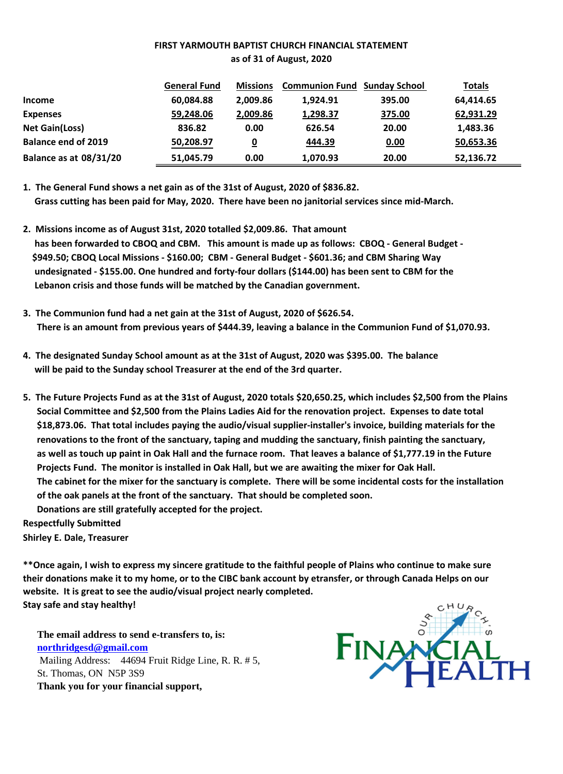## **FIRST YARMOUTH BAPTIST CHURCH FINANCIAL STATEMENT as of 31 of August, 2020**

|                               | <b>General Fund</b> | <b>Missions</b> | <b>Communion Fund Sunday School</b> |        | <b>Totals</b> |
|-------------------------------|---------------------|-----------------|-------------------------------------|--------|---------------|
| <b>Income</b>                 | 60,084.88           | 2.009.86        | 1,924.91                            | 395.00 | 64,414.65     |
| <b>Expenses</b>               | 59,248.06           | 2,009.86        | 1,298.37                            | 375.00 | 62,931.29     |
| <b>Net Gain(Loss)</b>         | 836.82              | 0.00            | 626.54                              | 20.00  | 1,483.36      |
| <b>Balance end of 2019</b>    | 50,208.97           | 0               | 444.39                              | 0.00   | 50,653.36     |
| <b>Balance as at 08/31/20</b> | 51,045.79           | 0.00            | 1,070.93                            | 20.00  | 52,136.72     |

**1. The General Fund shows a net gain as of the 31st of August, 2020 of \$836.82. Grass cutting has been paid for May, 2020. There have been no janitorial services since mid-March.**

- **2. Missions income as of August 31st, 2020 totalled \$2,009.86. That amount has been forwarded to CBOQ and CBM. This amount is made up as follows: CBOQ - General Budget - \$949.50; CBOQ Local Missions - \$160.00; CBM - General Budget - \$601.36; and CBM Sharing Way undesignated - \$155.00. One hundred and forty-four dollars (\$144.00) has been sent to CBM for the Lebanon crisis and those funds will be matched by the Canadian government.**
- **3. The Communion fund had a net gain at the 31st of August, 2020 of \$626.54. There is an amount from previous years of \$444.39, leaving a balance in the Communion Fund of \$1,070.93.**
- **4. The designated Sunday School amount as at the 31st of August, 2020 was \$395.00. The balance will be paid to the Sunday school Treasurer at the end of the 3rd quarter.**
- **5. The Future Projects Fund as at the 31st of August, 2020 totals \$20,650.25, which includes \$2,500 from the Plains Social Committee and \$2,500 from the Plains Ladies Aid for the renovation project. Expenses to date total \$18,873.06. That total includes paying the audio/visual supplier-installer's invoice, building materials for the renovations to the front of the sanctuary, taping and mudding the sanctuary, finish painting the sanctuary, as well as touch up paint in Oak Hall and the furnace room. That leaves a balance of \$1,777.19 in the Future Projects Fund. The monitor is installed in Oak Hall, but we are awaiting the mixer for Oak Hall. The cabinet for the mixer for the sanctuary is complete. There will be some incidental costs for the installation of the oak panels at the front of the sanctuary. That should be completed soon. Donations are still gratefully accepted for the project.**

**Respectfully Submitted**

**Shirley E. Dale, Treasurer**

**\*\*Once again, I wish to express my sincere gratitude to the faithful people of Plains who continue to make sure their donations make it to my home, or to the CIBC bank account by etransfer, or through Canada Helps on our website. It is great to see the audio/visual project nearly completed. Stay safe and stay healthy!**

**The email address to send e-transfers to, is: northridgesd@gmail.com** Mailing Address: 44694 Fruit Ridge Line, R. R. # 5, St. Thomas, ON N5P 3S9 **Thank you for your financial support,**

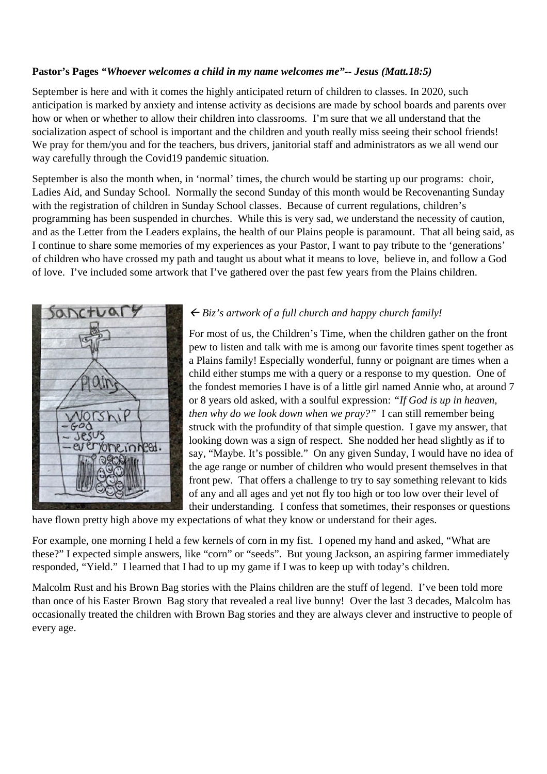## **Pastor's Pages** *"Whoever welcomes a child in my name welcomes me"-- Jesus (Matt.18:5)*

September is here and with it comes the highly anticipated return of children to classes. In 2020, such anticipation is marked by anxiety and intense activity as decisions are made by school boards and parents over how or when or whether to allow their children into classrooms. I'm sure that we all understand that the socialization aspect of school is important and the children and youth really miss seeing their school friends! We pray for them/you and for the teachers, bus drivers, janitorial staff and administrators as we all wend our way carefully through the Covid19 pandemic situation.

September is also the month when, in 'normal' times, the church would be starting up our programs: choir, Ladies Aid, and Sunday School. Normally the second Sunday of this month would be Recovenanting Sunday with the registration of children in Sunday School classes. Because of current regulations, children's programming has been suspended in churches. While this is very sad, we understand the necessity of caution, and as the Letter from the Leaders explains, the health of our Plains people is paramount. That all being said, as I continue to share some memories of my experiences as your Pastor, I want to pay tribute to the 'generations' of children who have crossed my path and taught us about what it means to love, believe in, and follow a God of love. I've included some artwork that I've gathered over the past few years from the Plains children.



## *Biz's artwork of a full church and happy church family!*

For most of us, the Children's Time, when the children gather on the front pew to listen and talk with me is among our favorite times spent together as a Plains family! Especially wonderful, funny or poignant are times when a child either stumps me with a query or a response to my question. One of the fondest memories I have is of a little girl named Annie who, at around 7 or 8 years old asked, with a soulful expression: *"If God is up in heaven, then why do we look down when we pray?"* I can still remember being struck with the profundity of that simple question. I gave my answer, that looking down was a sign of respect. She nodded her head slightly as if to say, "Maybe. It's possible." On any given Sunday, I would have no idea of the age range or number of children who would present themselves in that front pew. That offers a challenge to try to say something relevant to kids of any and all ages and yet not fly too high or too low over their level of their understanding. I confess that sometimes, their responses or questions

have flown pretty high above my expectations of what they know or understand for their ages.

For example, one morning I held a few kernels of corn in my fist. I opened my hand and asked, "What are these?" I expected simple answers, like "corn" or "seeds". But young Jackson, an aspiring farmer immediately responded, "Yield." I learned that I had to up my game if I was to keep up with today's children.

Malcolm Rust and his Brown Bag stories with the Plains children are the stuff of legend. I've been told more than once of his Easter Brown Bag story that revealed a real live bunny! Over the last 3 decades, Malcolm has occasionally treated the children with Brown Bag stories and they are always clever and instructive to people of every age.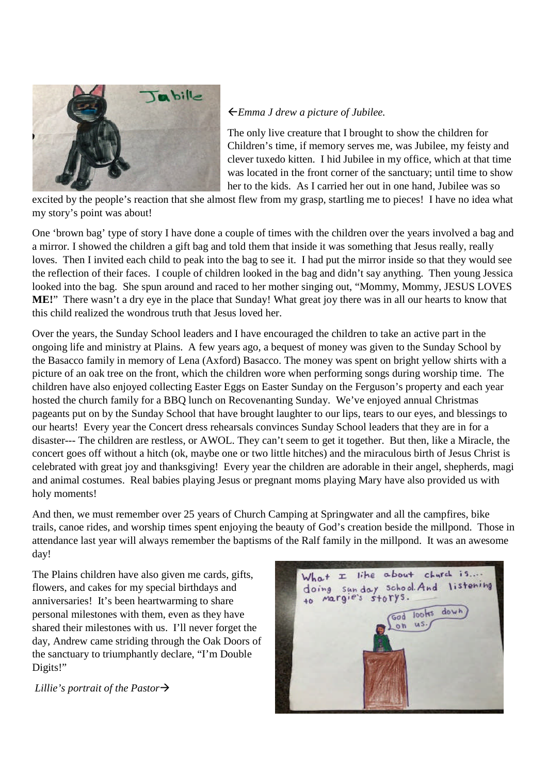

# *Emma J drew a picture of Jubilee.*

The only live creature that I brought to show the children for Children's time, if memory serves me, was Jubilee, my feisty and clever tuxedo kitten. I hid Jubilee in my office, which at that time was located in the front corner of the sanctuary; until time to show her to the kids. As I carried her out in one hand, Jubilee was so

excited by the people's reaction that she almost flew from my grasp, startling me to pieces! I have no idea what my story's point was about!

One 'brown bag' type of story I have done a couple of times with the children over the years involved a bag and a mirror. I showed the children a gift bag and told them that inside it was something that Jesus really, really loves. Then I invited each child to peak into the bag to see it. I had put the mirror inside so that they would see the reflection of their faces. I couple of children looked in the bag and didn't say anything. Then young Jessica looked into the bag. She spun around and raced to her mother singing out, "Mommy, Mommy, JESUS LOVES **ME!**" There wasn't a dry eye in the place that Sunday! What great joy there was in all our hearts to know that this child realized the wondrous truth that Jesus loved her.

Over the years, the Sunday School leaders and I have encouraged the children to take an active part in the ongoing life and ministry at Plains. A few years ago, a bequest of money was given to the Sunday School by the Basacco family in memory of Lena (Axford) Basacco. The money was spent on bright yellow shirts with a picture of an oak tree on the front, which the children wore when performing songs during worship time. The children have also enjoyed collecting Easter Eggs on Easter Sunday on the Ferguson's property and each year hosted the church family for a BBQ lunch on Recovenanting Sunday. We've enjoyed annual Christmas pageants put on by the Sunday School that have brought laughter to our lips, tears to our eyes, and blessings to our hearts! Every year the Concert dress rehearsals convinces Sunday School leaders that they are in for a disaster--- The children are restless, or AWOL. They can't seem to get it together. But then, like a Miracle, the concert goes off without a hitch (ok, maybe one or two little hitches) and the miraculous birth of Jesus Christ is celebrated with great joy and thanksgiving! Every year the children are adorable in their angel, shepherds, magi and animal costumes. Real babies playing Jesus or pregnant moms playing Mary have also provided us with holy moments!

And then, we must remember over 25 years of Church Camping at Springwater and all the campfires, bike trails, canoe rides, and worship times spent enjoying the beauty of God's creation beside the millpond. Those in attendance last year will always remember the baptisms of the Ralf family in the millpond. It was an awesome day!

The Plains children have also given me cards, gifts, flowers, and cakes for my special birthdays and anniversaries! It's been heartwarming to share personal milestones with them, even as they have shared their milestones with us. I'll never forget the day, Andrew came striding through the Oak Doors of the sanctuary to triumphantly declare, "I'm Double Digits!"

*Lillie's portrait of the Pastor*

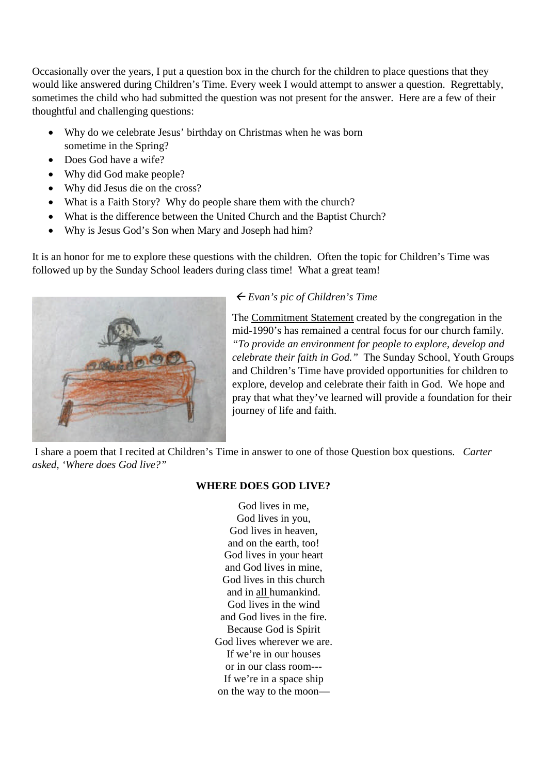Occasionally over the years, I put a question box in the church for the children to place questions that they would like answered during Children's Time. Every week I would attempt to answer a question. Regrettably, sometimes the child who had submitted the question was not present for the answer. Here are a few of their thoughtful and challenging questions:

- Why do we celebrate Jesus' birthday on Christmas when he was born sometime in the Spring?
- Does God have a wife?
- Why did God make people?
- Why did Jesus die on the cross?
- What is a Faith Story? Why do people share them with the church?
- What is the difference between the United Church and the Baptist Church?
- Why is Jesus God's Son when Mary and Joseph had him?

It is an honor for me to explore these questions with the children. Often the topic for Children's Time was followed up by the Sunday School leaders during class time! What a great team!



# *Evan's pic of Children's Time*

The Commitment Statement created by the congregation in the mid-1990's has remained a central focus for our church family. *"To provide an environment for people to explore, develop and celebrate their faith in God."* The Sunday School, Youth Groups and Children's Time have provided opportunities for children to explore, develop and celebrate their faith in God. We hope and pray that what they've learned will provide a foundation for their journey of life and faith.

I share a poem that I recited at Children's Time in answer to one of those Question box questions. *Carter asked, 'Where does God live?"*

# **WHERE DOES GOD LIVE?**

God lives in me, God lives in you, God lives in heaven, and on the earth, too! God lives in your heart and God lives in mine, God lives in this church and in all humankind. God lives in the wind and God lives in the fire. Because God is Spirit God lives wherever we are. If we're in our houses or in our class room--- If we're in a space ship on the way to the moon—